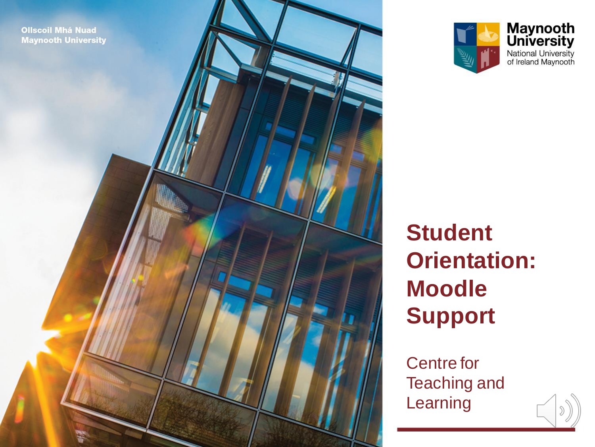



#### **Student Orientation: Moodle Support**

Centre for Teaching and Learning

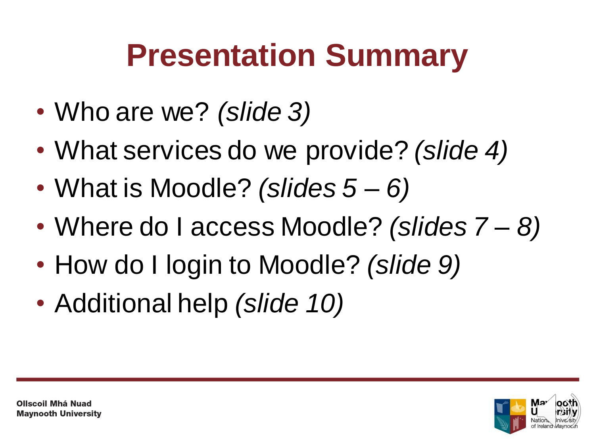#### **Presentation Summary**

- Who are we? *(slide 3)*
- What services do we provide? *(slide 4)*
- What is Moodle? *(slides 5 – 6)*
- Where do I access Moodle? *(slides 7 – 8)*
- How do I login to Moodle? *(slide 9)*
- Additional help *(slide 10)*

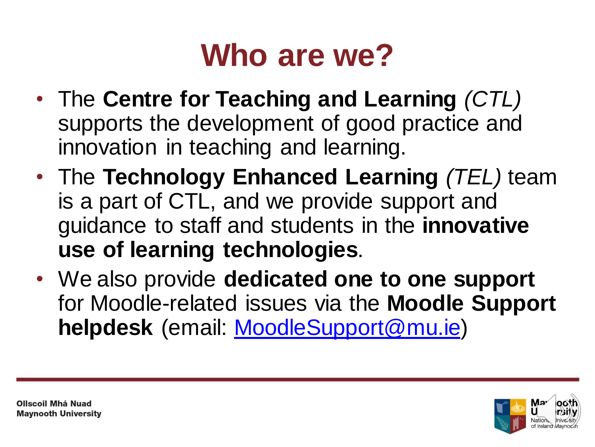#### **Who are we?**

- The **Centre for Teaching and Learning** *(CTL)*  supports the development of good practice and innovation in teaching and learning.
- The **Technology Enhanced Learning** *(TEL)* team is a part of CTL, and we provide support and guidance to staff and students in the **innovative use of learning technologies**.
- We also provide **dedicated one to one support**  for Moodle-related issues via the **Moodle Support helpdesk** (email: [MoodleSupport@mu.ie\)](mailto:MoodleSupport@mu.ie)

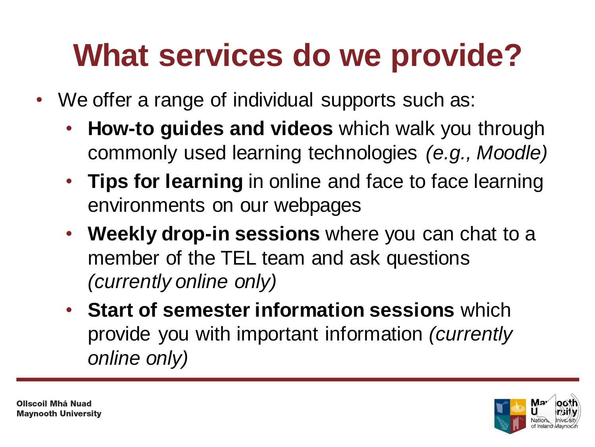## **What services do we provide?**

- We offer a range of individual supports such as:
	- **How-to guides and videos** which walk you through commonly used learning technologies *(e.g., Moodle)*
	- **Tips for learning** in online and face to face learning environments on our webpages
	- **Weekly drop-in sessions** where you can chat to a member of the TEL team and ask questions *(currently online only)*
	- **Start of semester information sessions** which provide you with important information *(currently online only)*

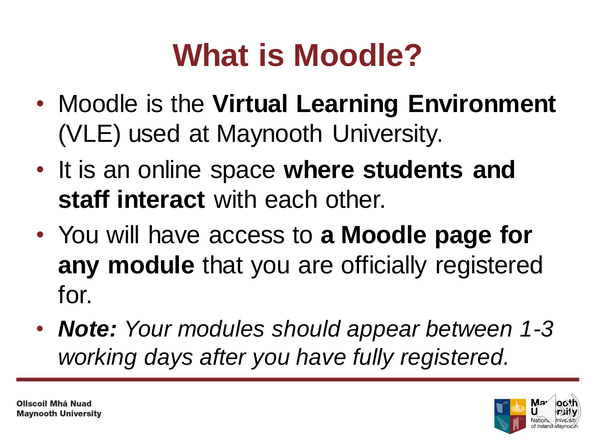# **What is Moodle?**

- Moodle is the **Virtual Learning Environment**  (VLE) used at Maynooth University.
- It is an online space **where students and staff interact** with each other.
- You will have access to **a Moodle page for any module** that you are officially registered for.
- *Note: Your modules should appear between 1-3 working days after you have fully registered.*

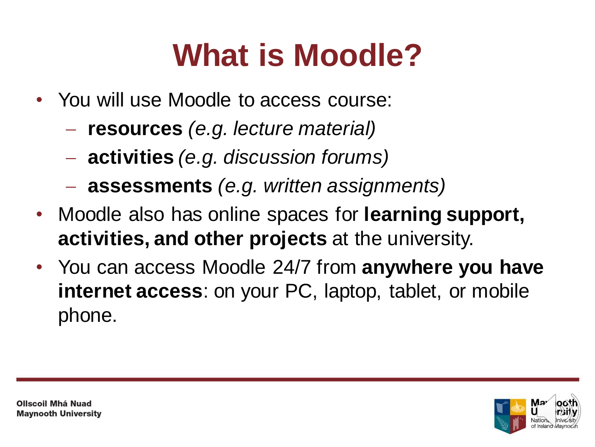## **What is Moodle?**

- You will use Moodle to access course:
	- **resources** *(e.g. lecture material)*
	- **activities** *(e.g. discussion forums)*
	- **assessments** *(e.g. written assignments)*
- Moodle also has online spaces for **learning support, activities, and other projects** at the university.
- You can access Moodle 24/7 from **anywhere you have internet access**: on your PC, laptop, tablet, or mobile phone.

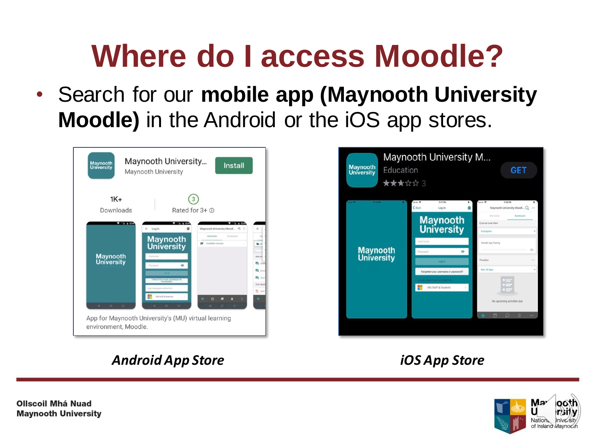#### **Where do I access Moodle?**

• Search for our **mobile app (Maynooth University Moodle)** in the Android or the iOS app stores.

| <b>Maynooth</b><br>University                       | Maynooth University<br><b>Install</b><br>Maynooth University                                                                                                                                                                                                                                                      |                                                                          |  |  |  |  |  |  |
|-----------------------------------------------------|-------------------------------------------------------------------------------------------------------------------------------------------------------------------------------------------------------------------------------------------------------------------------------------------------------------------|--------------------------------------------------------------------------|--|--|--|--|--|--|
| $1K +$<br>Downloads                                 | Rated for 3+ @                                                                                                                                                                                                                                                                                                    |                                                                          |  |  |  |  |  |  |
| $9 - 200$ at 23:44<br><b>Maynooth</b><br>University | $= 2.48$<br>21.62235<br>Maynooth University Moodl Q 1<br>← Log in<br>Dashboard<br>Sine home<br><b>Maynooth</b><br>Available courses<br><b>University</b><br>Usemaine<br>Password<br>ō<br><b>Life Of His</b><br>FORGOTTEN YOUR USERNAME OR<br>Lug in using your account on<br>structure & Ward Low<br>$\mathbf{r}$ | $\lambda$<br>Welcom<br>12<br>Anti<br>电 Tiit<br>TEST RESS<br>$25$ mm<br>٠ |  |  |  |  |  |  |
| 4<br>$\circ$<br>o<br>environment, Moodle.           | d<br>ö<br>4<br>ö<br>o<br>o<br>App for Maynooth University's (MU) virtual learning                                                                                                                                                                                                                                 |                                                                          |  |  |  |  |  |  |



#### *Android App Store iOS App Store*



**Ollscoil Mhá Nuad Maynooth University**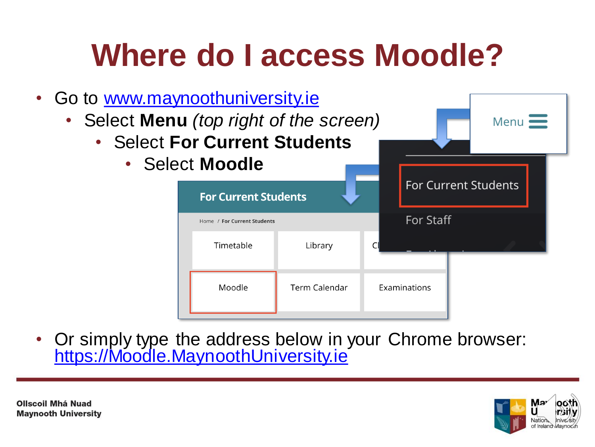## **Where do I access Moodle?**

- Go to [www.maynoothuniversity.ie](http://www.maynoothuniversity.ie/)
	- Select **Menu** *(top right of the screen)*
		- Select **F** 
			- Sele

| <b>For Current Students</b> |                                                            |               |  |                             |  |  |
|-----------------------------|------------------------------------------------------------|---------------|--|-----------------------------|--|--|
| <b>ect Moodle</b>           |                                                            |               |  | <b>For Current Students</b> |  |  |
|                             | <b>For Current Students</b><br>Home / For Current Students |               |  | For Staff                   |  |  |
|                             | Timetable                                                  | Library       |  |                             |  |  |
|                             | Moodle                                                     | Term Calendar |  | Examinations                |  |  |

• Or simply type the address below in your Chrome browser: [https://Moodle.MaynoothUniversity.ie](https://moodle.maynoothuniversity.ie/)



Menu $\equiv$ 

**Ollscoil Mhá Nuad Maynooth University**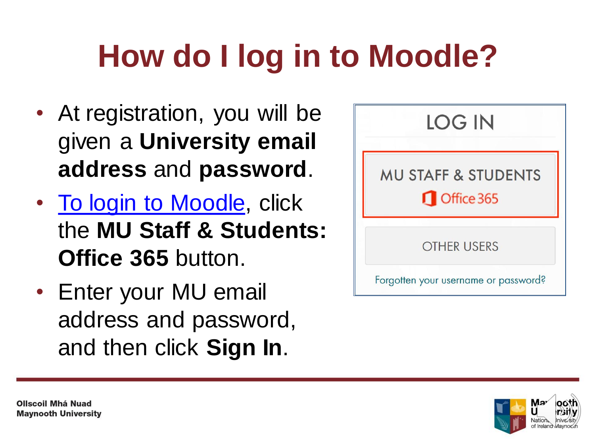# **How do I log in to Moodle?**

- At registration, you will be given a **University email address** and **password**.
- [To login to Moodle](https://moodle.maynoothuniversity.ie/login/index.php), click the **MU Staff & Students: Office 365** button.
- Enter your MU email address and password, and then click **Sign In**.



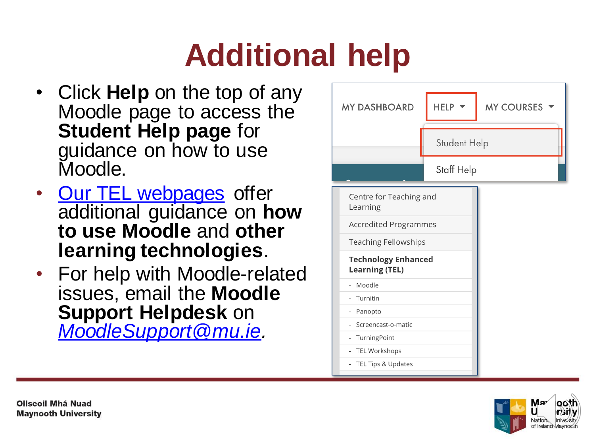# **Additional help**

- Click **Help** on the top of any Moodle page to access the **Student Help page** for guidance on how to use Moodle.
- **[Our TEL webpages](https://www.maynoothuniversity.ie/centre-teaching-and-learning/technology-enhanced-learning)** offer additional guidance on **how to use Moodle** and **other learning technologies**.
- For help with Moodle-related issues, email the **Moodle Support Helpdesk** on *[MoodleSupport@mu.ie.](mailto:MoodleSupport@mu.ie)*